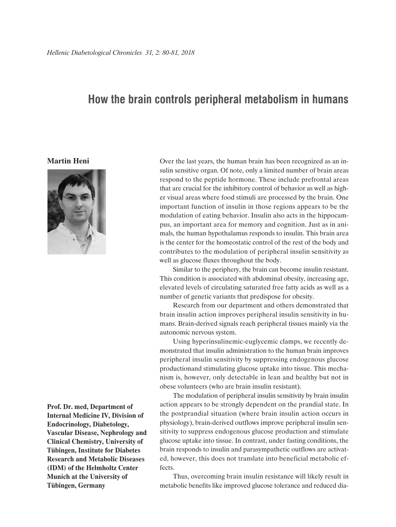## **How the brain controls peripheral metabolism in humans**

## **Martin Heni**



**Prof. Dr. med, Department of Internal Medicine IV, Division of Endocrinology, Diabetology, Vascular Disease, Nephrology and Clinical Chemistry, University of Tübingen, Institute for Diabetes Research and Metabolic Diseases (IDM) of the Helmholtz Center Munich at the University of Tübingen, Germany**

Over the last years, the human brain has been recognized as an insulin sensitive organ. Of note, only a limited number of brain areas respond to the peptide hormone. These include prefrontal areas that are crucial for the inhibitory control of behavior as well as higher visual areas where food stimuli are processed by the brain. One important function of insulin in those regions appears to be the modulation of eating behavior. Insulin also acts in the hippocampus, an important area for memory and cognition. Just as in animals, the human hypothalamus responds to insulin. This brain area is the center for the homeostatic control of the rest of the body and contributes to the modulation of peripheral insulin sensitivity as well as glucose fluxes throughout the body.

Similar to the periphery, the brain can become insulin resistant. This condition is associated with abdominal obesity, increasing age, elevated levels of circulating saturated free fatty acids as well as a number of genetic variants that predispose for obesity.

Research from our department and others demonstrated that brain insulin action improves peripheral insulin sensitivity in humans. Brain-derived signals reach peripheral tissues mainly via the autonomic nervous system.

Using hyperinsulinemic-euglycemic clamps, we recently demonstrated that insulin administration to the human brain improves peripheral insulin sensitivity by suppressing endogenous glucose productionand stimulating glucose uptake into tissue. This mechanism is, however, only detectable in lean and healthy but not in obese volunteers (who are brain insulin resistant).

The modulation of peripheral insulin sensitivity by brain insulin action appears to be strongly dependent on the prandial state. In the postprandial situation (where brain insulin action occurs in physiology), brain-derived outflows improve peripheral insulin sensitivity to suppress endogenous glucose production and stimulate glucose uptake into tissue. In contrast, under fasting conditions, the brain responds to insulin and parasympathetic outflows are activated, however, this does not translate into beneficial metabolic effects.

Thus, overcoming brain insulin resistance will likely result in metabolic benefits like improved glucose tolerance and reduced dia